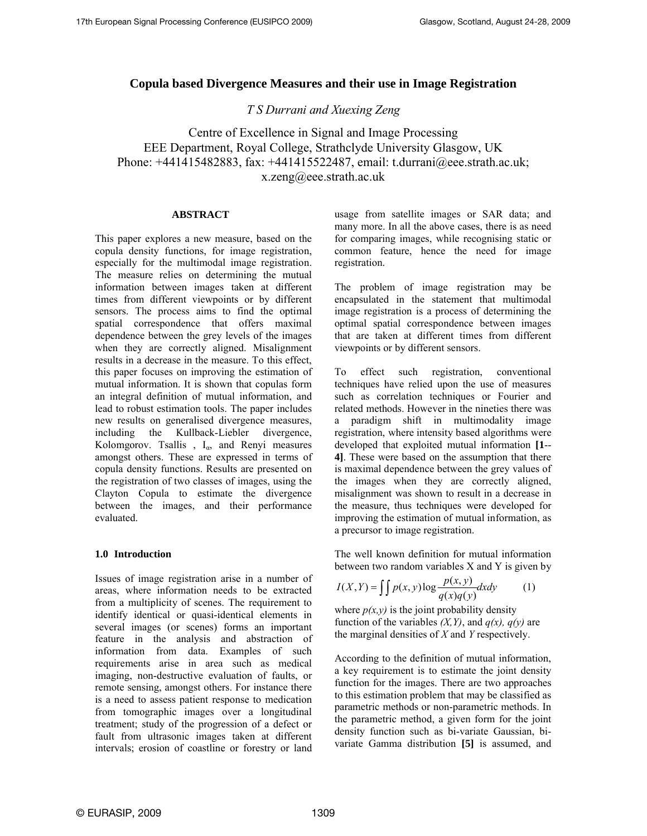# **Copula based Divergence Measures and their use in Image Registration**

*T S Durrani and Xuexing Zeng*

Centre of Excellence in Signal and Image Processing EEE Department, Royal College, Strathclyde University Glasgow, UK Phone: +441415482883, fax: +441415522487, email: t.durrani@eee.strath.ac.uk; x.zeng@eee.strath.ac.uk

## **ABSTRACT**

This paper explores a new measure, based on the copula density functions, for image registration, especially for the multimodal image registration. The measure relies on determining the mutual information between images taken at different times from different viewpoints or by different sensors. The process aims to find the optimal spatial correspondence that offers maximal dependence between the grey levels of the images when they are correctly aligned. Misalignment results in a decrease in the measure. To this effect, this paper focuses on improving the estimation of mutual information. It is shown that copulas form an integral definition of mutual information, and lead to robust estimation tools. The paper includes new results on generalised divergence measures, including the Kullback-Liebler divergence, Kolomgorov. Tsallis,  $I_{\alpha}$ , and Renyi measures amongst others. These are expressed in terms of copula density functions. Results are presented on the registration of two classes of images, using the Clayton Copula to estimate the divergence between the images, and their performance evaluated.

## **1.0 Introduction**

Issues of image registration arise in a number of areas, where information needs to be extracted from a multiplicity of scenes. The requirement to identify identical or quasi-identical elements in several images (or scenes) forms an important feature in the analysis and abstraction of information from data. Examples of such requirements arise in area such as medical imaging, non-destructive evaluation of faults, or remote sensing, amongst others. For instance there is a need to assess patient response to medication from tomographic images over a longitudinal treatment; study of the progression of a defect or fault from ultrasonic images taken at different intervals; erosion of coastline or forestry or land usage from satellite images or SAR data; and many more. In all the above cases, there is as need for comparing images, while recognising static or common feature, hence the need for image registration.

The problem of image registration may be encapsulated in the statement that multimodal image registration is a process of determining the optimal spatial correspondence between images that are taken at different times from different viewpoints or by different sensors.

To effect such registration, conventional techniques have relied upon the use of measures such as correlation techniques or Fourier and related methods. However in the nineties there was a paradigm shift in multimodality image registration, where intensity based algorithms were developed that exploited mutual information **[1**-- **4]**. These were based on the assumption that there is maximal dependence between the grey values of the images when they are correctly aligned, misalignment was shown to result in a decrease in the measure, thus techniques were developed for improving the estimation of mutual information, as a precursor to image registration.

The well known definition for mutual information between two random variables X and Y is given by

$$
I(X,Y) = \iint p(x,y) \log \frac{p(x,y)}{q(x)q(y)} dxdy \tag{1}
$$

where  $p(x, y)$  is the joint probability density function of the variables  $(X, Y)$ , and  $q(x)$ ,  $q(y)$  are the marginal densities of *X* and *Y* respectively.

According to the definition of mutual information, a key requirement is to estimate the joint density function for the images. There are two approaches to this estimation problem that may be classified as parametric methods or non-parametric methods. In the parametric method, a given form for the joint density function such as bi-variate Gaussian, bivariate Gamma distribution **[5]** is assumed, and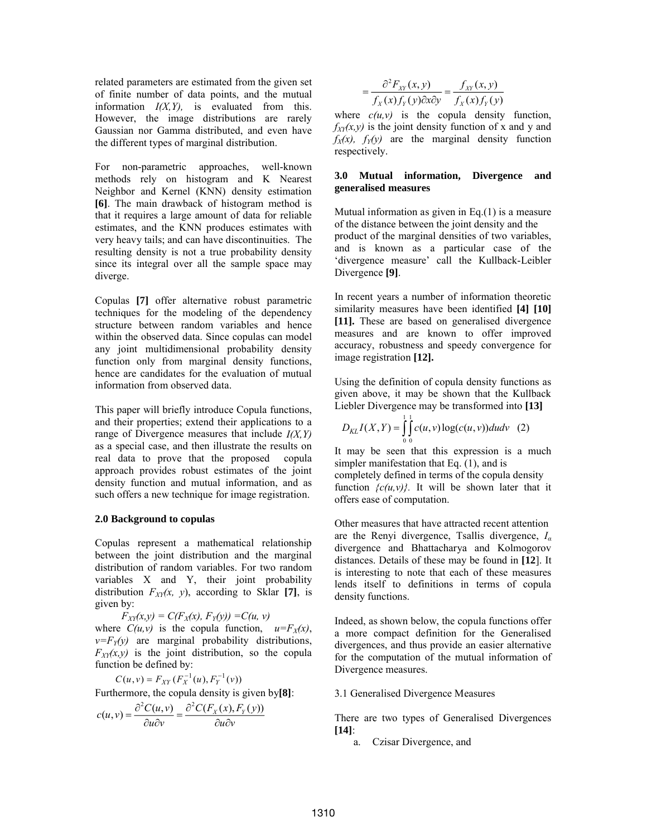related parameters are estimated from the given set of finite number of data points, and the mutual information *I(X,Y),* is evaluated from this. However, the image distributions are rarely Gaussian nor Gamma distributed, and even have the different types of marginal distribution.

For non-parametric approaches, well-known methods rely on histogram and K Nearest Neighbor and Kernel (KNN) density estimation **[6]**. The main drawback of histogram method is that it requires a large amount of data for reliable estimates, and the KNN produces estimates with very heavy tails; and can have discontinuities. The resulting density is not a true probability density since its integral over all the sample space may diverge.

Copulas **[7]** offer alternative robust parametric techniques for the modeling of the dependency structure between random variables and hence within the observed data. Since copulas can model any joint multidimensional probability density function only from marginal density functions, hence are candidates for the evaluation of mutual information from observed data.

This paper will briefly introduce Copula functions, and their properties; extend their applications to a range of Divergence measures that include *I(X,Y)* as a special case, and then illustrate the results on real data to prove that the proposed copula approach provides robust estimates of the joint density function and mutual information, and as such offers a new technique for image registration.

### **2.0 Background to copulas**

Copulas represent a mathematical relationship between the joint distribution and the marginal distribution of random variables. For two random variables X and Y, their joint probability distribution  $F_{XY}(x, y)$ , according to Sklar [7], is given by:

 $F_{XY}(x,y) = C(F_X(x), F_Y(y)) = C(u, v)$ where  $C(u, v)$  is the copula function,  $u = F_X(x)$ ,  $v = F<sub>y</sub>(y)$  are marginal probability distributions,  $F_{XY}(x, y)$  is the joint distribution, so the copula function be defined by:

$$
C(u, v) = F_{XY}(F_X^{-1}(u), F_Y^{-1}(v))
$$
  
Furthermore, the copula density is given by[8]:  

$$
c(u, v) = \frac{\partial^2 C(u, v)}{\partial u \partial v} = \frac{\partial^2 C(F_X(x), F_Y(y))}{\partial u \partial v}
$$

$$
= \frac{\partial^2 F_{XY}(x, y)}{f_X(x) f_Y(y) \partial x \partial y} = \frac{f_{XY}(x, y)}{f_X(x) f_Y(y)}
$$

where  $c(u, v)$  is the copula density function,  $f_{XY}(x, y)$  is the joint density function of x and y and  $f_X(x)$ ,  $f_Y(y)$  are the marginal density function respectively.

### **3.0 Mutual information, Divergence and generalised measures**

Mutual information as given in Eq.(1) is a measure of the distance between the joint density and the product of the marginal densities of two variables, and is known as a particular case of the 'divergence measure' call the Kullback-Leibler Divergence **[9]**.

In recent years a number of information theoretic similarity measures have been identified **[4] [10] [11].** These are based on generalised divergence measures and are known to offer improved accuracy, robustness and speedy convergence for image registration **[12].**

Using the definition of copula density functions as given above, it may be shown that the Kullback Liebler Divergence may be transformed into **[13]**

$$
D_{KL}I(X,Y) = \int_{0}^{1} \int_{0}^{1} c(u,v) \log(c(u,v)) du dv \quad (2)
$$

It may be seen that this expression is a much simpler manifestation that Eq. (1), and is completely defined in terms of the copula density function  $\{c(u, v)\}$ . It will be shown later that it offers ease of computation.

Other measures that have attracted recent attention are the Renyi divergence, Tsallis divergence, *I<sup>α</sup>* divergence and Bhattacharya and Kolmogorov distances. Details of these may be found in **[12**]. It is interesting to note that each of these measures lends itself to definitions in terms of copula density functions.

Indeed, as shown below, the copula functions offer a more compact definition for the Generalised divergences, and thus provide an easier alternative for the computation of the mutual information of Divergence measures.

3.1 Generalised Divergence Measures

There are two types of Generalised Divergences **[14]**:

a. Czisar Divergence, and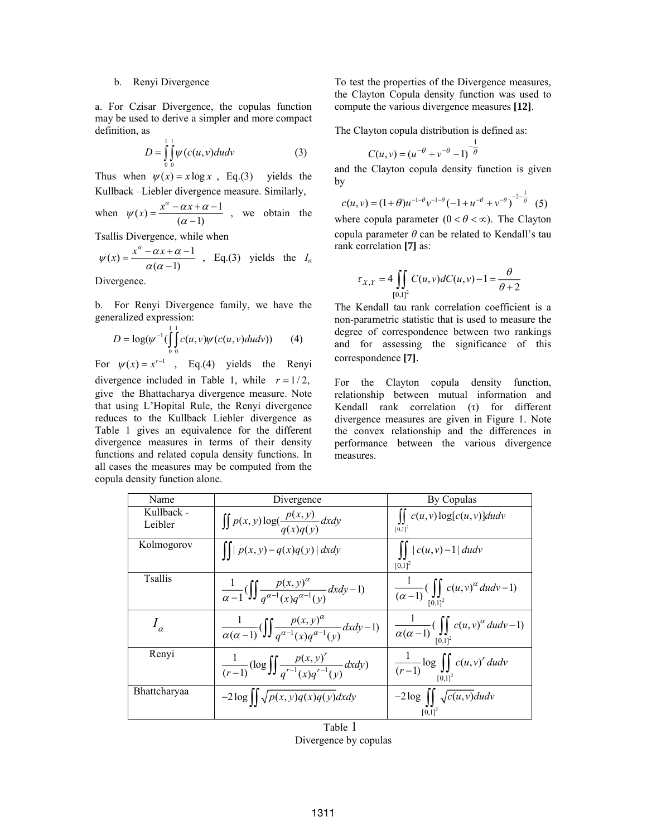### b. Renyi Divergence

a. For Czisar Divergence, the copulas function may be used to derive a simpler and more compact definition, as

$$
D = \int_{0}^{1} \int_{0}^{1} \psi(c(u, v))dudv \tag{3}
$$

Thus when  $\psi(x) = x \log x$ , Eq.(3) yields the Kullback –Liebler divergence measure. Similarly,

when 
$$
\psi(x) = \frac{x^{\alpha} - \alpha x + \alpha - 1}{(\alpha - 1)}
$$
, we obtain the

Tsallis Divergence, while when

$$
\psi(x) = \frac{x^{\alpha} - \alpha x + \alpha - 1}{\alpha(\alpha - 1)} \quad \text{Eq.(3) yields the } I_{\alpha}
$$

Divergence.

b. For Renyi Divergence family, we have the generalized expression:

$$
D = \log(\psi^{-1}(\int_{0}^{1} \int_{0}^{1} c(u, v)\psi(c(u, v)dudv))
$$
 (4)

For  $\psi(x) = x^{r-1}$ , Eq.(4) yields the Renyi divergence included in Table 1, while  $r = 1/2$ , give the Bhattacharya divergence measure. Note that using L'Hopital Rule, the Renyi divergence reduces to the Kullback Liebler divergence as Table 1 gives an equivalence for the different divergence measures in terms of their density functions and related copula density functions. In all cases the measures may be computed from the copula density function alone.

To test the properties of the Divergence measures, the Clayton Copula density function was used to compute the various divergence measures **[12]**.

The Clayton copula distribution is defined as:

$$
C(u, v) = (u^{-\theta} + v^{-\theta} - 1)^{-\frac{1}{\theta}}
$$

and the Clayton copula density function is given by

 $c(u, v) = (1 + \theta)u^{-1-\theta}v^{-1-\theta}(-1 + u^{-\theta} + v^{-\theta})^{-\frac{2-\frac{1}{\theta}}{\theta}}$  (5)

where copula parameter  $(0 < \theta < \infty)$ . The Clayton copula parameter  $\theta$  can be related to Kendall's tau rank correlation **[7]** as:

$$
\tau_{X,Y} = 4 \iint\limits_{[0,1]^2} C(u,v) dC(u,v) - 1 = \frac{\theta}{\theta + 2}
$$

The Kendall tau rank correlation coefficient is a non-parametric statistic that is used to measure the degree of correspondence between two rankings and for assessing the significance of this correspondence **[7]**.

For the Clayton copula density function, relationship between mutual information and Kendall rank correlation (τ) for different divergence measures are given in Figure 1. Note the convex relationship and the differences in performance between the various divergence measures.

| Name                  | Divergence                                                                                                  | By Copulas                                                                                          |
|-----------------------|-------------------------------------------------------------------------------------------------------------|-----------------------------------------------------------------------------------------------------|
| Kullback -<br>Leibler | $\iint p(x, y) \log(\frac{p(x, y)}{q(x)q(y)}) dxdy$                                                         | $\iint c(u,v) \log[c(u,v)] du dv$<br>$[0,1]^{2}$                                                    |
| Kolmogorov            | $\iiint  p(x,y)-q(x)q(y)  dx dy$                                                                            | $\left  \int  c(u,v)-1  \, du dv \right $<br>$[0,1]^{2}$                                            |
| <b>T</b> sallis       | $\frac{1}{\alpha-1}(\iint \frac{p(x,y)^{\alpha}}{a^{\alpha-1}(x)a^{\alpha-1}(y)}dxdy-1)$                    | $\frac{1}{(\alpha-1)} \left( \iint_{[0,1]^2} c(u,v)^{\alpha} du dv - 1 \right)$                     |
| $I_{\alpha}$          | $\frac{1}{\alpha(\alpha-1)}\left(\iint \frac{p(x,y)^{\alpha}}{a^{\alpha-1}(y)a^{\alpha-1}(y)}dxdy-1\right)$ | $\frac{1}{\alpha(\alpha-1)}\left(\iint\limits_{\lceil\alpha\rceil l^2}c(u,v)^\alpha\,dudv-1\right)$ |
| Renyi                 | $\frac{1}{(r-1)}(\log \iint \frac{p(x, y)^r}{a^{r-1}(y) a^{r-1}(y)} dxdy)$                                  | $\frac{1}{(r-1)}\log\iint\limits_{[0,1]^2}c(u,v)^r\,dudv$                                           |
| Bhattcharyaa          | $-2\log \int \int \sqrt{p(x,y)q(x)q(y)}dxdy$                                                                | $-2\log \int \int \sqrt{c(u,v)}du dv$<br>$[0,1]^2$                                                  |
| Table 1               |                                                                                                             |                                                                                                     |

Divergence by copulas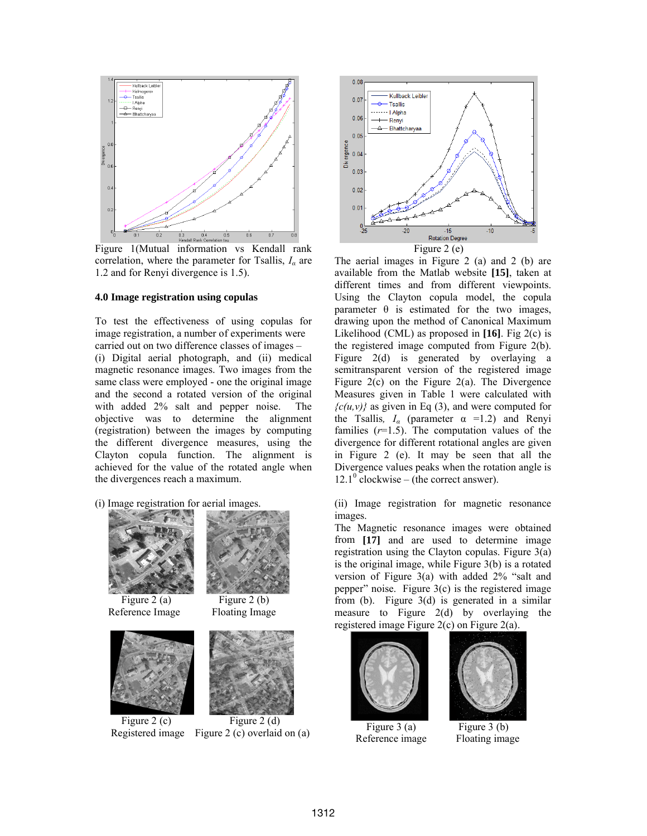

Figure 1(Mutual information vs Kendall rank correlation, where the parameter for Tsallis, *I<sup>α</sup>* are 1.2 and for Renyi divergence is 1.5).

#### **4.0 Image registration using copulas**

To test the effectiveness of using copulas for image registration, a number of experiments were carried out on two difference classes of images – (i) Digital aerial photograph, and (ii) medical magnetic resonance images. Two images from the same class were employed - one the original image and the second a rotated version of the original with added 2% salt and pepper noise. The objective was to determine the alignment (registration) between the images by computing the different divergence measures, using the Clayton copula function. The alignment is achieved for the value of the rotated angle when the divergences reach a maximum.

(i) Image registration for aerial images.



Reference Image Floating Image







Figure 2 (c) Figure 2 (d) Registered image Figure 2 (c) overlaid on (a)



The aerial images in Figure 2 (a) and 2 (b) are available from the Matlab website **[15]**, taken at different times and from different viewpoints. Using the Clayton copula model, the copula parameter  $\theta$  is estimated for the two images, drawing upon the method of Canonical Maximum Likelihood (CML) as proposed in **[16]**. Fig 2(c) is the registered image computed from Figure 2(b). Figure 2(d) is generated by overlaying a semitransparent version of the registered image Figure 2(c) on the Figure 2(a). The Divergence Measures given in Table 1 were calculated with  ${c(u,v)}$  as given in Eq (3), and were computed for the Tsallis,  $I_\alpha$  (parameter  $\alpha$  =1.2) and Renyi families  $(r=1.5)$ . The computation values of the divergence for different rotational angles are given in Figure 2 (e). It may be seen that all the Divergence values peaks when the rotation angle is  $12.1^{\circ}$  clockwise – (the correct answer).

(ii) Image registration for magnetic resonance images.

The Magnetic resonance images were obtained from **[17]** and are used to determine image registration using the Clayton copulas. Figure 3(a) is the original image, while Figure 3(b) is a rotated version of Figure 3(a) with added 2% "salt and pepper" noise. Figure  $3(c)$  is the registered image from (b). Figure  $3(d)$  is generated in a similar measure to Figure 2(d) by overlaying the registered image Figure 2(c) on Figure 2(a).



Figure 3 (a) Figure 3 (b) Reference image Floating image